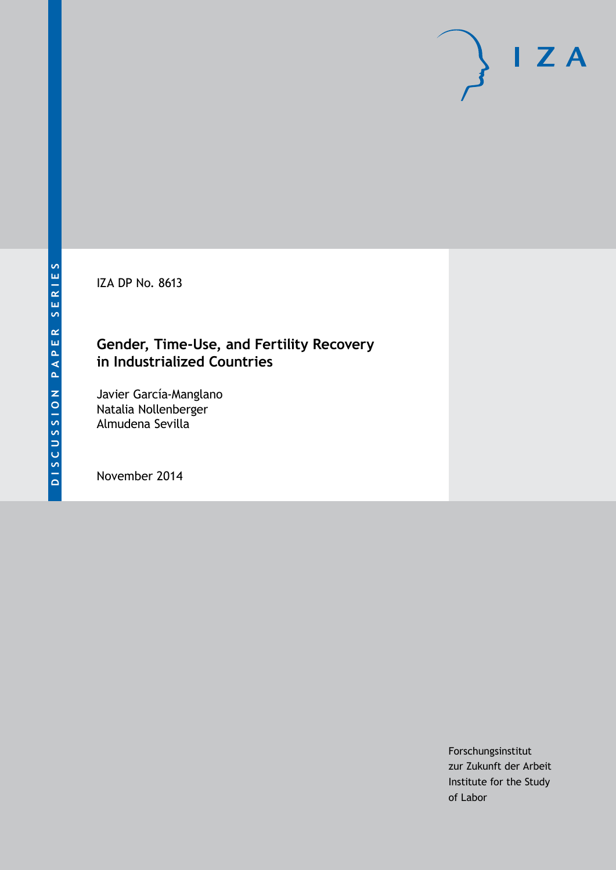IZA DP No. 8613

## **Gender, Time-Use, and Fertility Recovery in Industrialized Countries**

Javier García-Manglano Natalia Nollenberger Almudena Sevilla

November 2014

Forschungsinstitut zur Zukunft der Arbeit Institute for the Study of Labor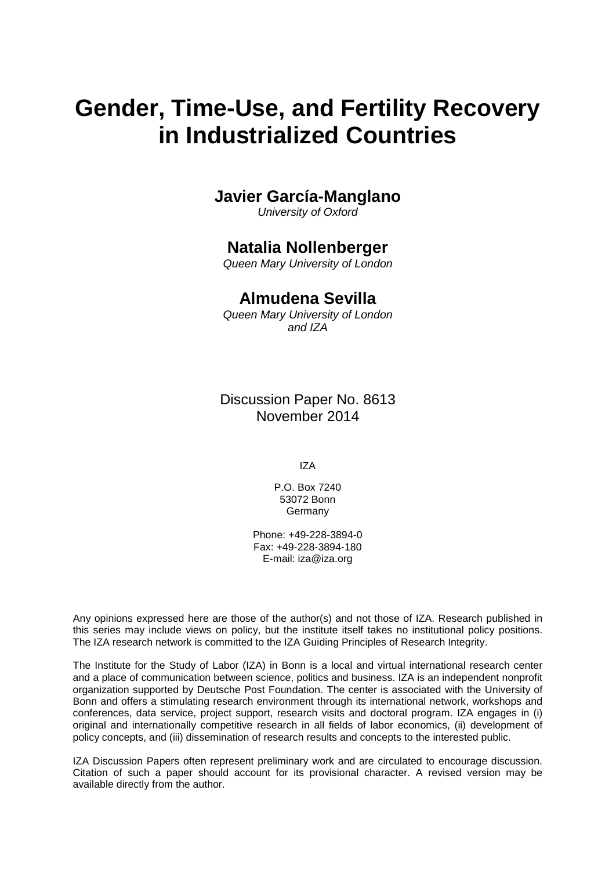# **Gender, Time-Use, and Fertility Recovery in Industrialized Countries**

### **Javier García-Manglano**

*University of Oxford*

## **Natalia Nollenberger**

*Queen Mary University of London*

## **Almudena Sevilla**

*Queen Mary University of London and IZA*

Discussion Paper No. 8613 November 2014

IZA

P.O. Box 7240 53072 Bonn Germany

Phone: +49-228-3894-0 Fax: +49-228-3894-180 E-mail: [iza@iza.org](mailto:iza@iza.org)

Any opinions expressed here are those of the author(s) and not those of IZA. Research published in this series may include views on policy, but the institute itself takes no institutional policy positions. The IZA research network is committed to the IZA Guiding Principles of Research Integrity.

The Institute for the Study of Labor (IZA) in Bonn is a local and virtual international research center and a place of communication between science, politics and business. IZA is an independent nonprofit organization supported by Deutsche Post Foundation. The center is associated with the University of Bonn and offers a stimulating research environment through its international network, workshops and conferences, data service, project support, research visits and doctoral program. IZA engages in (i) original and internationally competitive research in all fields of labor economics, (ii) development of policy concepts, and (iii) dissemination of research results and concepts to the interested public.

IZA Discussion Papers often represent preliminary work and are circulated to encourage discussion. Citation of such a paper should account for its provisional character. A revised version may be available directly from the author.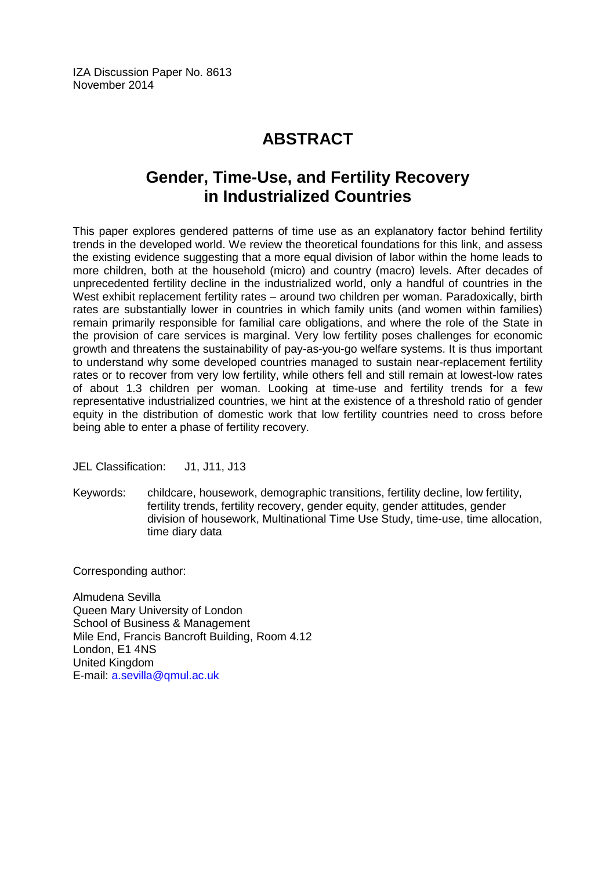## **ABSTRACT**

## **Gender, Time-Use, and Fertility Recovery in Industrialized Countries**

This paper explores gendered patterns of time use as an explanatory factor behind fertility trends in the developed world. We review the theoretical foundations for this link, and assess the existing evidence suggesting that a more equal division of labor within the home leads to more children, both at the household (micro) and country (macro) levels. After decades of unprecedented fertility decline in the industrialized world, only a handful of countries in the West exhibit replacement fertility rates – around two children per woman. Paradoxically, birth rates are substantially lower in countries in which family units (and women within families) remain primarily responsible for familial care obligations, and where the role of the State in the provision of care services is marginal. Very low fertility poses challenges for economic growth and threatens the sustainability of pay-as-you-go welfare systems. It is thus important to understand why some developed countries managed to sustain near-replacement fertility rates or to recover from very low fertility, while others fell and still remain at lowest-low rates of about 1.3 children per woman. Looking at time-use and fertility trends for a few representative industrialized countries, we hint at the existence of a threshold ratio of gender equity in the distribution of domestic work that low fertility countries need to cross before being able to enter a phase of fertility recovery.

JEL Classification: J1, J11, J13

Keywords: childcare, housework, demographic transitions, fertility decline, low fertility, fertility trends, fertility recovery, gender equity, gender attitudes, gender division of housework, Multinational Time Use Study, time-use, time allocation, time diary data

Corresponding author:

Almudena Sevilla Queen Mary University of London School of Business & Management Mile End, Francis Bancroft Building, Room 4.12 London, E1 4NS United Kingdom E-mail: [a.sevilla@qmul.ac.uk](mailto:a.sevilla@qmul.ac.uk)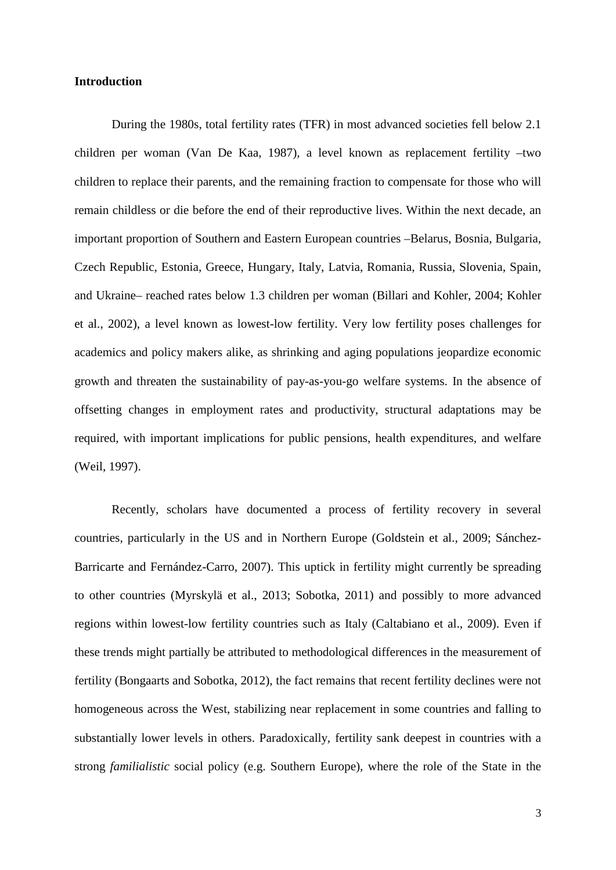#### **Introduction**

During the 1980s, total fertility rates (TFR) in most advanced societies fell below 2.1 children per woman (Van De Kaa, 1987), a level known as replacement fertility –two children to replace their parents, and the remaining fraction to compensate for those who will remain childless or die before the end of their reproductive lives. Within the next decade, an important proportion of Southern and Eastern European countries –Belarus, Bosnia, Bulgaria, Czech Republic, Estonia, Greece, Hungary, Italy, Latvia, Romania, Russia, Slovenia, Spain, and Ukraine– reached rates below 1.3 children per woman (Billari and Kohler, 2004; Kohler et al., 2002), a level known as lowest-low fertility. Very low fertility poses challenges for academics and policy makers alike, as shrinking and aging populations jeopardize economic growth and threaten the sustainability of pay-as-you-go welfare systems. In the absence of offsetting changes in employment rates and productivity, structural adaptations may be required, with important implications for public pensions, health expenditures, and welfare (Weil, 1997).

Recently, scholars have documented a process of fertility recovery in several countries, particularly in the US and in Northern Europe (Goldstein et al., 2009; Sánchez-Barricarte and Fernández-Carro, 2007). This uptick in fertility might currently be spreading to other countries (Myrskylä et al., 2013; Sobotka, 2011) and possibly to more advanced regions within lowest-low fertility countries such as Italy (Caltabiano et al., 2009). Even if these trends might partially be attributed to methodological differences in the measurement of fertility (Bongaarts and Sobotka, 2012), the fact remains that recent fertility declines were not homogeneous across the West, stabilizing near replacement in some countries and falling to substantially lower levels in others. Paradoxically, fertility sank deepest in countries with a strong *familialistic* social policy (e.g. Southern Europe), where the role of the State in the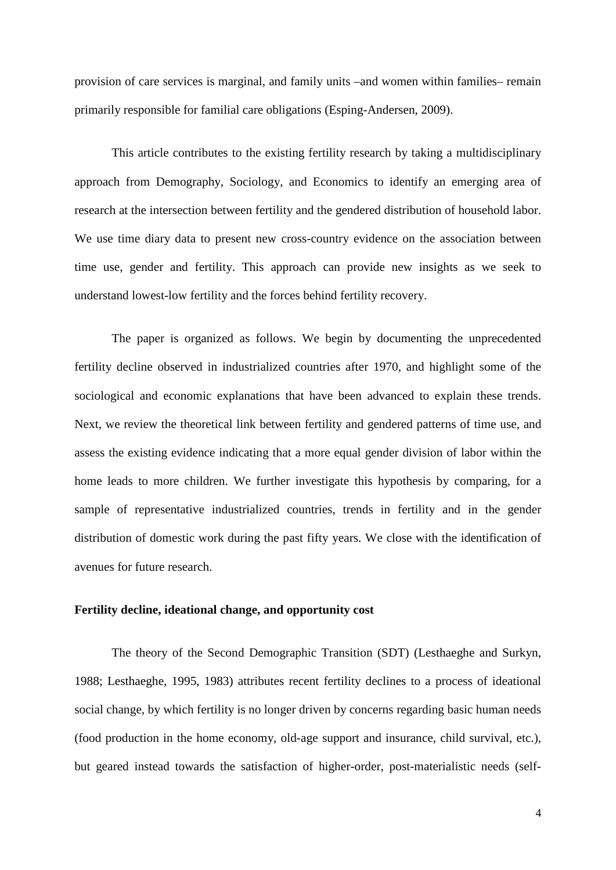provision of care services is marginal, and family units –and women within families– remain primarily responsible for familial care obligations (Esping-Andersen, 2009).

This article contributes to the existing fertility research by taking a multidisciplinary approach from Demography, Sociology, and Economics to identify an emerging area of research at the intersection between fertility and the gendered distribution of household labor. We use time diary data to present new cross-country evidence on the association between time use, gender and fertility. This approach can provide new insights as we seek to understand lowest-low fertility and the forces behind fertility recovery.

The paper is organized as follows. We begin by documenting the unprecedented fertility decline observed in industrialized countries after 1970, and highlight some of the sociological and economic explanations that have been advanced to explain these trends. Next, we review the theoretical link between fertility and gendered patterns of time use, and assess the existing evidence indicating that a more equal gender division of labor within the home leads to more children. We further investigate this hypothesis by comparing, for a sample of representative industrialized countries, trends in fertility and in the gender distribution of domestic work during the past fifty years. We close with the identification of avenues for future research.

#### **Fertility decline, ideational change, and opportunity cost**

The theory of the Second Demographic Transition (SDT) (Lesthaeghe and Surkyn, 1988; Lesthaeghe, 1995, 1983) attributes recent fertility declines to a process of ideational social change, by which fertility is no longer driven by concerns regarding basic human needs (food production in the home economy, old-age support and insurance, child survival, etc.), but geared instead towards the satisfaction of higher-order, post-materialistic needs (self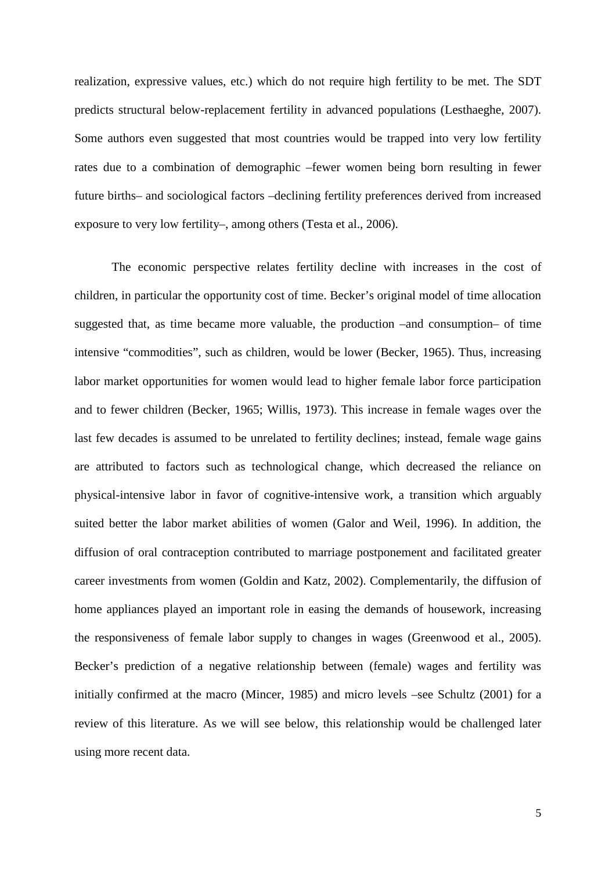realization, expressive values, etc.) which do not require high fertility to be met. The SDT predicts structural below-replacement fertility in advanced populations (Lesthaeghe, 2007). Some authors even suggested that most countries would be trapped into very low fertility rates due to a combination of demographic –fewer women being born resulting in fewer future births– and sociological factors –declining fertility preferences derived from increased exposure to very low fertility–, among others (Testa et al., 2006).

The economic perspective relates fertility decline with increases in the cost of children, in particular the opportunity cost of time. Becker's original model of time allocation suggested that, as time became more valuable, the production –and consumption– of time intensive "commodities", such as children, would be lower (Becker, 1965). Thus, increasing labor market opportunities for women would lead to higher female labor force participation and to fewer children (Becker, 1965; Willis, 1973). This increase in female wages over the last few decades is assumed to be unrelated to fertility declines; instead, female wage gains are attributed to factors such as technological change, which decreased the reliance on physical-intensive labor in favor of cognitive-intensive work, a transition which arguably suited better the labor market abilities of women (Galor and Weil, 1996). In addition, the diffusion of oral contraception contributed to marriage postponement and facilitated greater career investments from women (Goldin and Katz, 2002). Complementarily, the diffusion of home appliances played an important role in easing the demands of housework, increasing the responsiveness of female labor supply to changes in wages (Greenwood et al., 2005). Becker's prediction of a negative relationship between (female) wages and fertility was initially confirmed at the macro (Mincer, 1985) and micro levels –see Schultz (2001) for a review of this literature. As we will see below, this relationship would be challenged later using more recent data.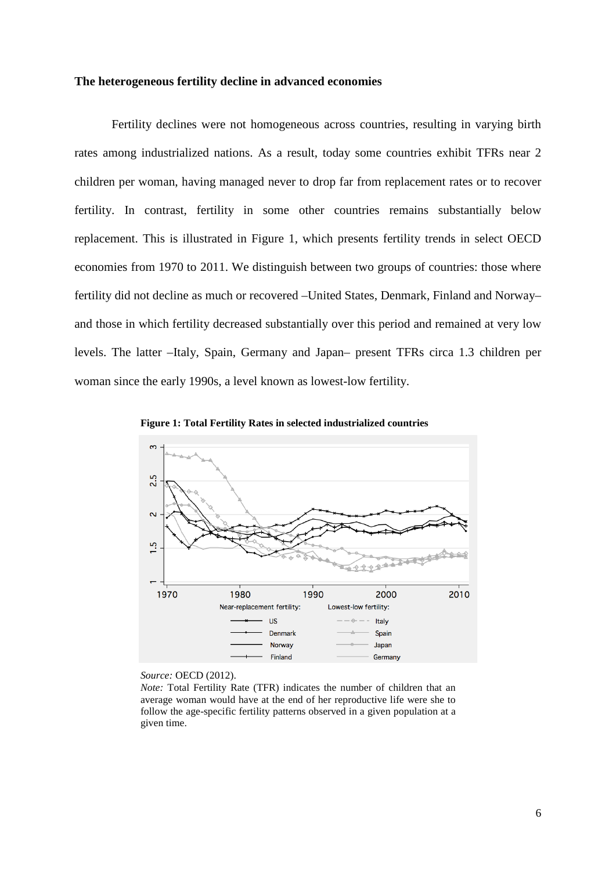#### **The heterogeneous fertility decline in advanced economies**

Fertility declines were not homogeneous across countries, resulting in varying birth rates among industrialized nations. As a result, today some countries exhibit TFRs near 2 children per woman, having managed never to drop far from replacement rates or to recover fertility. In contrast, fertility in some other countries remains substantially below replacement. This is illustrated in Figure 1, which presents fertility trends in select OECD economies from 1970 to 2011. We distinguish between two groups of countries: those where fertility did not decline as much or recovered –United States, Denmark, Finland and Norway– and those in which fertility decreased substantially over this period and remained at very low levels. The latter –Italy, Spain, Germany and Japan– present TFRs circa 1.3 children per woman since the early 1990s, a level known as lowest-low fertility.





*Source:* OECD (2012).

*Note:* Total Fertility Rate (TFR) indicates the number of children that an average woman would have at the end of her reproductive life were she to follow the age-specific fertility patterns observed in a given population at a given time.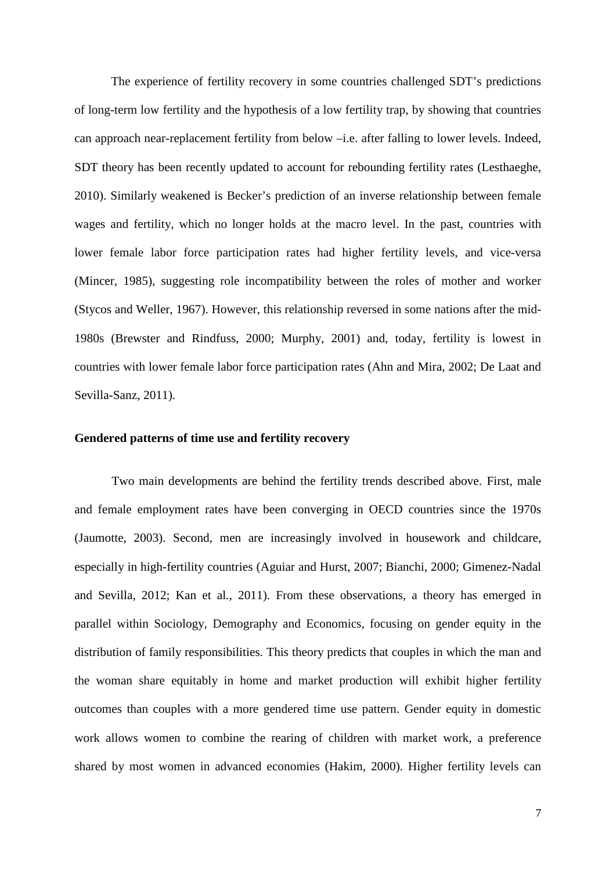The experience of fertility recovery in some countries challenged SDT's predictions of long-term low fertility and the hypothesis of a low fertility trap, by showing that countries can approach near-replacement fertility from below –i.e. after falling to lower levels. Indeed, SDT theory has been recently updated to account for rebounding fertility rates (Lesthaeghe, 2010). Similarly weakened is Becker's prediction of an inverse relationship between female wages and fertility, which no longer holds at the macro level. In the past, countries with lower female labor force participation rates had higher fertility levels, and vice-versa (Mincer, 1985), suggesting role incompatibility between the roles of mother and worker (Stycos and Weller, 1967). However, this relationship reversed in some nations after the mid-1980s (Brewster and Rindfuss, 2000; Murphy, 2001) and, today, fertility is lowest in countries with lower female labor force participation rates (Ahn and Mira, 2002; De Laat and Sevilla-Sanz, 2011).

#### **Gendered patterns of time use and fertility recovery**

Two main developments are behind the fertility trends described above. First, male and female employment rates have been converging in OECD countries since the 1970s (Jaumotte, 2003). Second, men are increasingly involved in housework and childcare, especially in high-fertility countries (Aguiar and Hurst, 2007; Bianchi, 2000; Gimenez-Nadal and Sevilla, 2012; Kan et al*.*, 2011). From these observations, a theory has emerged in parallel within Sociology, Demography and Economics, focusing on gender equity in the distribution of family responsibilities. This theory predicts that couples in which the man and the woman share equitably in home and market production will exhibit higher fertility outcomes than couples with a more gendered time use pattern. Gender equity in domestic work allows women to combine the rearing of children with market work, a preference shared by most women in advanced economies (Hakim, 2000). Higher fertility levels can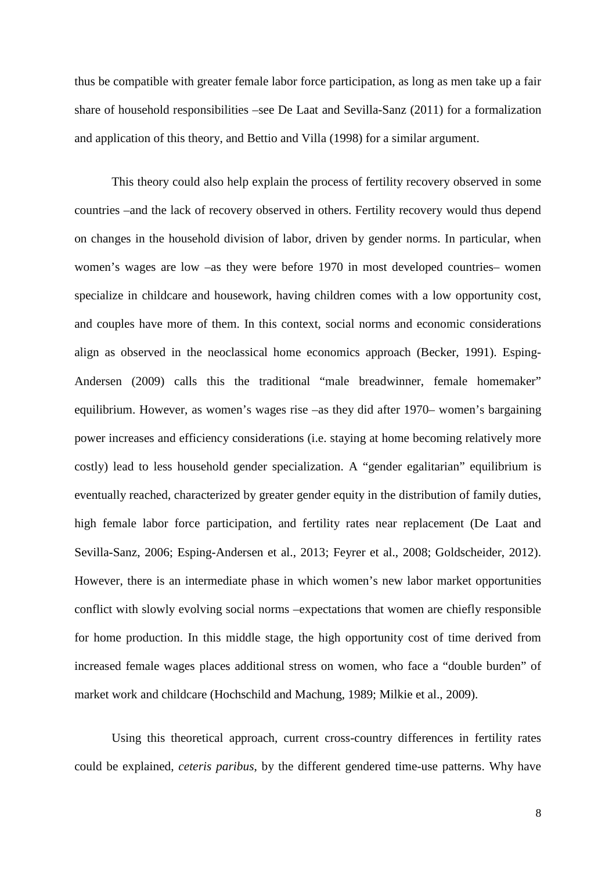thus be compatible with greater female labor force participation, as long as men take up a fair share of household responsibilities –see De Laat and Sevilla-Sanz (2011) for a formalization and application of this theory, and Bettio and Villa (1998) for a similar argument.

This theory could also help explain the process of fertility recovery observed in some countries –and the lack of recovery observed in others. Fertility recovery would thus depend on changes in the household division of labor, driven by gender norms. In particular, when women's wages are low –as they were before 1970 in most developed countries– women specialize in childcare and housework, having children comes with a low opportunity cost, and couples have more of them. In this context, social norms and economic considerations align as observed in the neoclassical home economics approach (Becker, 1991). Esping-Andersen (2009) calls this the traditional "male breadwinner, female homemaker" equilibrium. However, as women's wages rise –as they did after 1970– women's bargaining power increases and efficiency considerations (i.e. staying at home becoming relatively more costly) lead to less household gender specialization. A "gender egalitarian" equilibrium is eventually reached, characterized by greater gender equity in the distribution of family duties, high female labor force participation, and fertility rates near replacement (De Laat and Sevilla-Sanz, 2006; Esping-Andersen et al., 2013; Feyrer et al., 2008; Goldscheider, 2012). However, there is an intermediate phase in which women's new labor market opportunities conflict with slowly evolving social norms –expectations that women are chiefly responsible for home production. In this middle stage, the high opportunity cost of time derived from increased female wages places additional stress on women, who face a "double burden" of market work and childcare (Hochschild and Machung, 1989; Milkie et al., 2009).

Using this theoretical approach, current cross-country differences in fertility rates could be explained, *ceteris paribus*, by the different gendered time-use patterns. Why have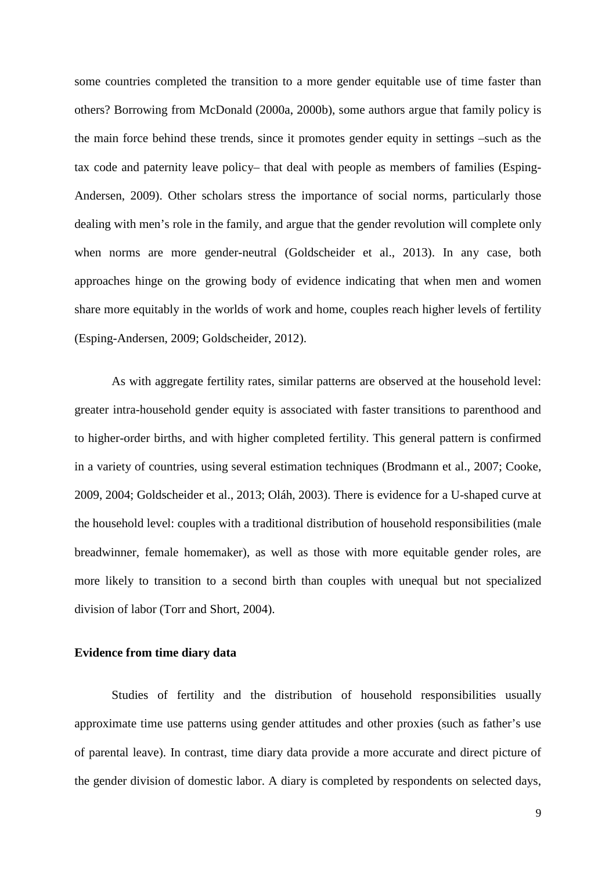some countries completed the transition to a more gender equitable use of time faster than others? Borrowing from McDonald (2000a, 2000b), some authors argue that family policy is the main force behind these trends, since it promotes gender equity in settings –such as the tax code and paternity leave policy– that deal with people as members of families (Esping-Andersen, 2009). Other scholars stress the importance of social norms, particularly those dealing with men's role in the family, and argue that the gender revolution will complete only when norms are more gender-neutral (Goldscheider et al., 2013). In any case, both approaches hinge on the growing body of evidence indicating that when men and women share more equitably in the worlds of work and home, couples reach higher levels of fertility (Esping-Andersen, 2009; Goldscheider, 2012).

As with aggregate fertility rates, similar patterns are observed at the household level: greater intra-household gender equity is associated with faster transitions to parenthood and to higher-order births, and with higher completed fertility. This general pattern is confirmed in a variety of countries, using several estimation techniques (Brodmann et al., 2007; Cooke, 2009, 2004; Goldscheider et al., 2013; Oláh, 2003). There is evidence for a U-shaped curve at the household level: couples with a traditional distribution of household responsibilities (male breadwinner, female homemaker), as well as those with more equitable gender roles, are more likely to transition to a second birth than couples with unequal but not specialized division of labor (Torr and Short, 2004).

#### **Evidence from time diary data**

Studies of fertility and the distribution of household responsibilities usually approximate time use patterns using gender attitudes and other proxies (such as father's use of parental leave). In contrast, time diary data provide a more accurate and direct picture of the gender division of domestic labor. A diary is completed by respondents on selected days,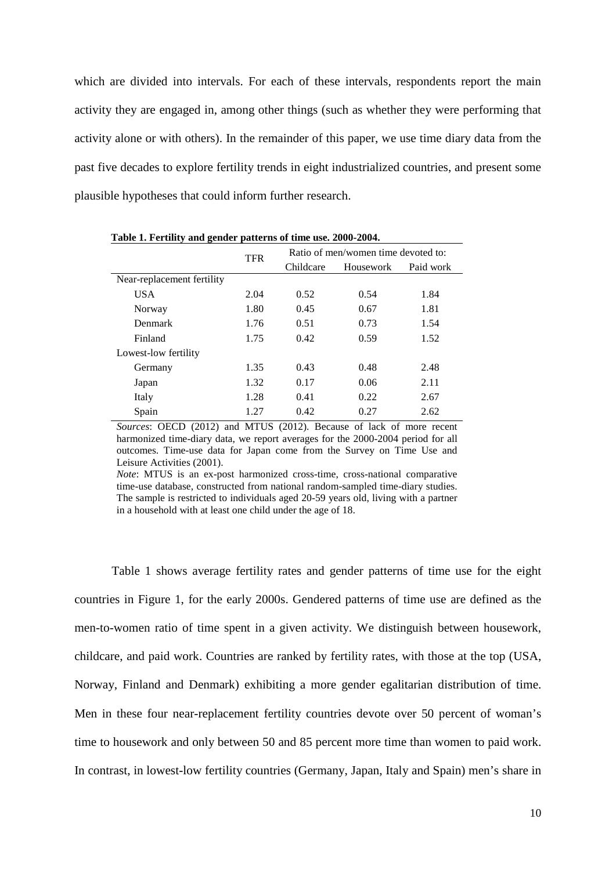which are divided into intervals. For each of these intervals, respondents report the main activity they are engaged in, among other things (such as whether they were performing that activity alone or with others). In the remainder of this paper, we use time diary data from the past five decades to explore fertility trends in eight industrialized countries, and present some plausible hypotheses that could inform further research.

|                            | <b>TFR</b> | Ratio of men/women time devoted to: |           |           |
|----------------------------|------------|-------------------------------------|-----------|-----------|
|                            |            | Childcare                           | Housework | Paid work |
| Near-replacement fertility |            |                                     |           |           |
| <b>USA</b>                 | 2.04       | 0.52                                | 0.54      | 1.84      |
| Norway                     | 1.80       | 0.45                                | 0.67      | 1.81      |
| Denmark                    | 1.76       | 0.51                                | 0.73      | 1.54      |
| Finland                    | 1.75       | 0.42                                | 0.59      | 1.52      |
| Lowest-low fertility       |            |                                     |           |           |
| Germany                    | 1.35       | 0.43                                | 0.48      | 2.48      |
| Japan                      | 1.32       | 0.17                                | 0.06      | 2.11      |
| Italy                      | 1.28       | 0.41                                | 0.22      | 2.67      |
| Spain                      | 1.27       | 0.42                                | 0.27      | 2.62      |

**Table 1. Fertility and gender patterns of time use. 2000-2004.**

*Sources*: OECD (2012) and MTUS (2012). Because of lack of more recent harmonized time-diary data, we report averages for the 2000-2004 period for all outcomes. Time-use data for Japan come from the Survey on Time Use and Leisure Activities (2001).

*Note*: MTUS is an ex-post harmonized cross-time, cross-national comparative time-use database, constructed from national random-sampled time-diary studies. The sample is restricted to individuals aged 20-59 years old, living with a partner in a household with at least one child under the age of 18.

Table 1 shows average fertility rates and gender patterns of time use for the eight countries in Figure 1, for the early 2000s. Gendered patterns of time use are defined as the men-to-women ratio of time spent in a given activity. We distinguish between housework, childcare, and paid work. Countries are ranked by fertility rates, with those at the top (USA, Norway, Finland and Denmark) exhibiting a more gender egalitarian distribution of time. Men in these four near-replacement fertility countries devote over 50 percent of woman's time to housework and only between 50 and 85 percent more time than women to paid work. In contrast, in lowest-low fertility countries (Germany, Japan, Italy and Spain) men's share in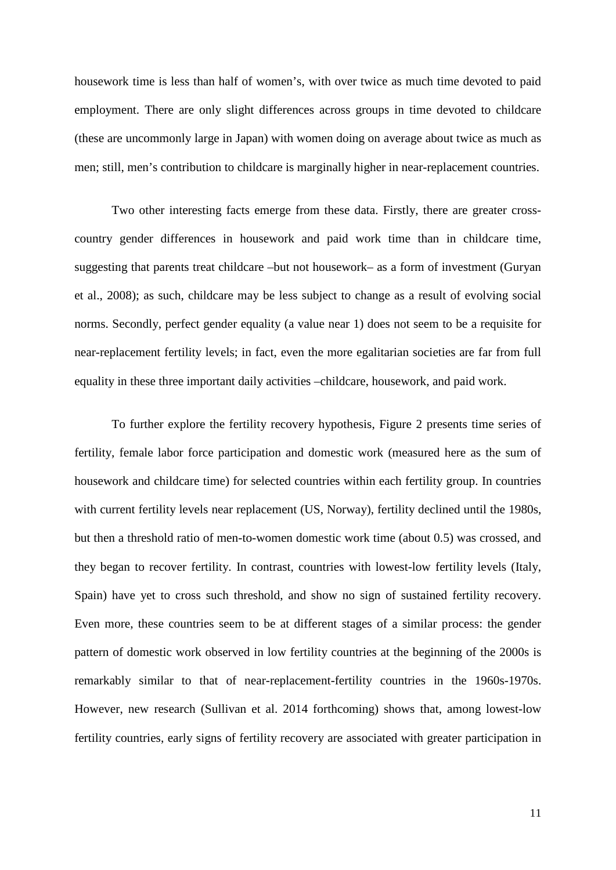housework time is less than half of women's, with over twice as much time devoted to paid employment. There are only slight differences across groups in time devoted to childcare (these are uncommonly large in Japan) with women doing on average about twice as much as men; still, men's contribution to childcare is marginally higher in near-replacement countries.

Two other interesting facts emerge from these data. Firstly, there are greater crosscountry gender differences in housework and paid work time than in childcare time, suggesting that parents treat childcare –but not housework– as a form of investment (Guryan et al., 2008); as such, childcare may be less subject to change as a result of evolving social norms. Secondly, perfect gender equality (a value near 1) does not seem to be a requisite for near-replacement fertility levels; in fact, even the more egalitarian societies are far from full equality in these three important daily activities –childcare, housework, and paid work.

To further explore the fertility recovery hypothesis, Figure 2 presents time series of fertility, female labor force participation and domestic work (measured here as the sum of housework and childcare time) for selected countries within each fertility group. In countries with current fertility levels near replacement (US, Norway), fertility declined until the 1980s, but then a threshold ratio of men-to-women domestic work time (about 0.5) was crossed, and they began to recover fertility. In contrast, countries with lowest-low fertility levels (Italy, Spain) have yet to cross such threshold, and show no sign of sustained fertility recovery. Even more, these countries seem to be at different stages of a similar process: the gender pattern of domestic work observed in low fertility countries at the beginning of the 2000s is remarkably similar to that of near-replacement-fertility countries in the 1960s-1970s. However, new research (Sullivan et al. 2014 forthcoming) shows that, among lowest-low fertility countries, early signs of fertility recovery are associated with greater participation in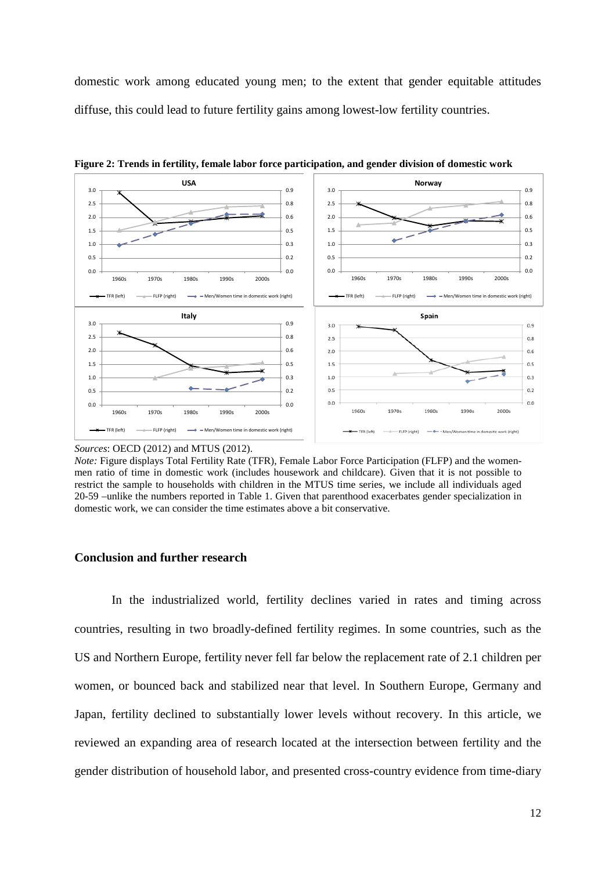domestic work among educated young men; to the extent that gender equitable attitudes diffuse, this could lead to future fertility gains among lowest-low fertility countries.



**Figure 2: Trends in fertility, female labor force participation, and gender division of domestic work**

*Sources*: OECD (2012) and MTUS (2012).

#### **Conclusion and further research**

In the industrialized world, fertility declines varied in rates and timing across countries, resulting in two broadly-defined fertility regimes. In some countries, such as the US and Northern Europe, fertility never fell far below the replacement rate of 2.1 children per women, or bounced back and stabilized near that level. In Southern Europe, Germany and Japan, fertility declined to substantially lower levels without recovery. In this article, we reviewed an expanding area of research located at the intersection between fertility and the gender distribution of household labor, and presented cross-country evidence from time-diary

*Note:* Figure displays Total Fertility Rate (TFR), Female Labor Force Participation (FLFP) and the womenmen ratio of time in domestic work (includes housework and childcare). Given that it is not possible to restrict the sample to households with children in the MTUS time series, we include all individuals aged 20-59 –unlike the numbers reported in Table 1. Given that parenthood exacerbates gender specialization in domestic work, we can consider the time estimates above a bit conservative.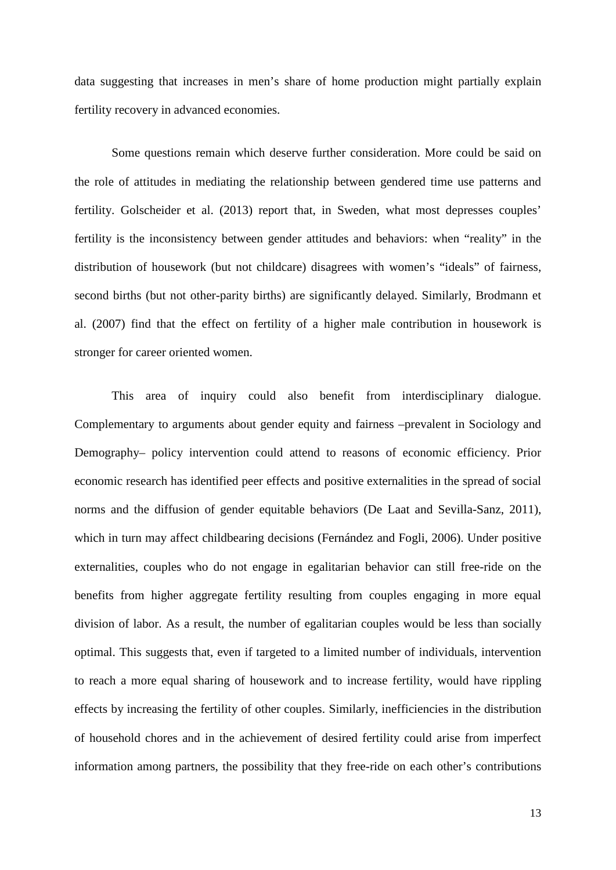data suggesting that increases in men's share of home production might partially explain fertility recovery in advanced economies.

Some questions remain which deserve further consideration. More could be said on the role of attitudes in mediating the relationship between gendered time use patterns and fertility. Golscheider et al. (2013) report that, in Sweden, what most depresses couples' fertility is the inconsistency between gender attitudes and behaviors: when "reality" in the distribution of housework (but not childcare) disagrees with women's "ideals" of fairness, second births (but not other-parity births) are significantly delayed. Similarly, Brodmann et al. (2007) find that the effect on fertility of a higher male contribution in housework is stronger for career oriented women.

This area of inquiry could also benefit from interdisciplinary dialogue. Complementary to arguments about gender equity and fairness –prevalent in Sociology and Demography– policy intervention could attend to reasons of economic efficiency. Prior economic research has identified peer effects and positive externalities in the spread of social norms and the diffusion of gender equitable behaviors (De Laat and Sevilla-Sanz, 2011), which in turn may affect childbearing decisions (Fernández and Fogli, 2006). Under positive externalities, couples who do not engage in egalitarian behavior can still free-ride on the benefits from higher aggregate fertility resulting from couples engaging in more equal division of labor. As a result, the number of egalitarian couples would be less than socially optimal. This suggests that, even if targeted to a limited number of individuals, intervention to reach a more equal sharing of housework and to increase fertility, would have rippling effects by increasing the fertility of other couples. Similarly, inefficiencies in the distribution of household chores and in the achievement of desired fertility could arise from imperfect information among partners, the possibility that they free-ride on each other's contributions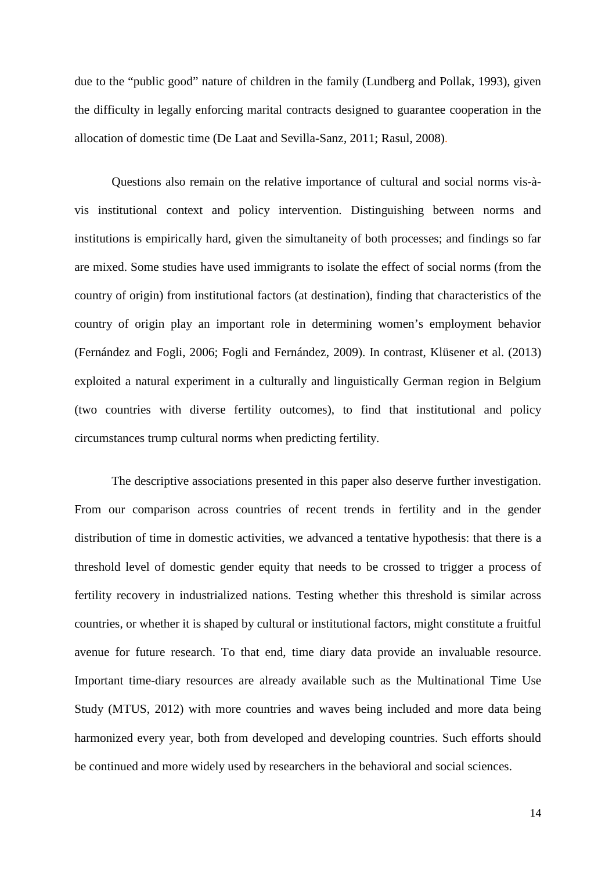due to the "public good" nature of children in the family (Lundberg and Pollak, 1993), given the difficulty in legally enforcing marital contracts designed to guarantee cooperation in the allocation of domestic time (De Laat and Sevilla-Sanz, 2011; Rasul, 2008).

Questions also remain on the relative importance of cultural and social norms vis-àvis institutional context and policy intervention. Distinguishing between norms and institutions is empirically hard, given the simultaneity of both processes; and findings so far are mixed. Some studies have used immigrants to isolate the effect of social norms (from the country of origin) from institutional factors (at destination), finding that characteristics of the country of origin play an important role in determining women's employment behavior (Fernández and Fogli, 2006; Fogli and Fernández, 2009). In contrast, Klüsener et al. (2013) exploited a natural experiment in a culturally and linguistically German region in Belgium (two countries with diverse fertility outcomes), to find that institutional and policy circumstances trump cultural norms when predicting fertility.

The descriptive associations presented in this paper also deserve further investigation. From our comparison across countries of recent trends in fertility and in the gender distribution of time in domestic activities, we advanced a tentative hypothesis: that there is a threshold level of domestic gender equity that needs to be crossed to trigger a process of fertility recovery in industrialized nations. Testing whether this threshold is similar across countries, or whether it is shaped by cultural or institutional factors, might constitute a fruitful avenue for future research. To that end, time diary data provide an invaluable resource. Important time-diary resources are already available such as the Multinational Time Use Study (MTUS, 2012) with more countries and waves being included and more data being harmonized every year, both from developed and developing countries. Such efforts should be continued and more widely used by researchers in the behavioral and social sciences.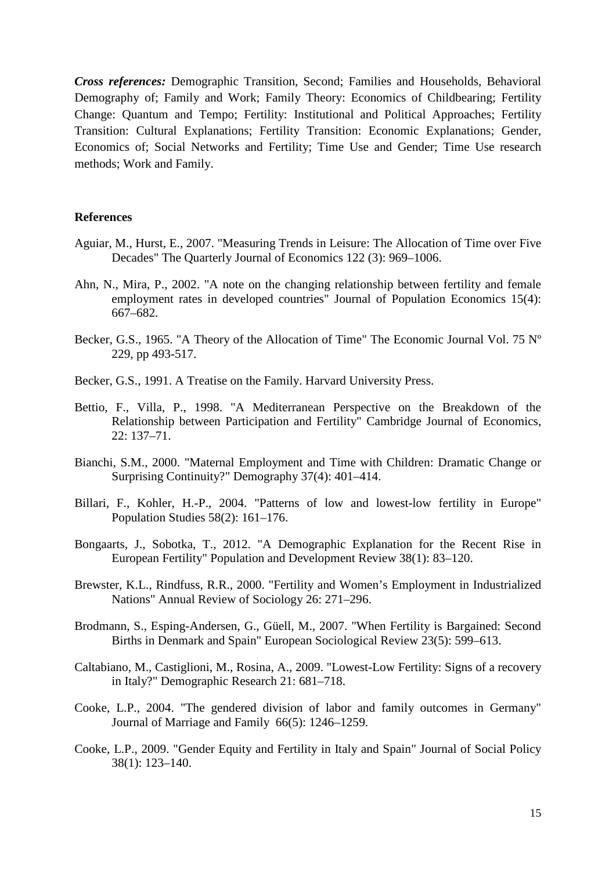*Cross references:* Demographic Transition, Second; Families and Households, Behavioral Demography of; Family and Work; Family Theory: Economics of Childbearing; Fertility Change: Quantum and Tempo; Fertility: Institutional and Political Approaches; Fertility Transition: Cultural Explanations; Fertility Transition: Economic Explanations; Gender, Economics of; Social Networks and Fertility; Time Use and Gender; Time Use research methods; Work and Family.

#### **References**

- Aguiar, M., Hurst, E., 2007. "Measuring Trends in Leisure: The Allocation of Time over Five Decades" The Quarterly Journal of Economics 122 (3): 969–1006.
- Ahn, N., Mira, P., 2002. "A note on the changing relationship between fertility and female employment rates in developed countries" Journal of Population Economics 15(4): 667–682.
- Becker, G.S., 1965. "A Theory of the Allocation of Time" The Economic Journal Vol. 75 Nº 229, pp 493-517.
- Becker, G.S., 1991. A Treatise on the Family. Harvard University Press.
- Bettio, F., Villa, P., 1998. "A Mediterranean Perspective on the Breakdown of the Relationship between Participation and Fertility" Cambridge Journal of Economics, 22: 137–71.
- Bianchi, S.M., 2000. "Maternal Employment and Time with Children: Dramatic Change or Surprising Continuity?" Demography 37(4): 401–414.
- Billari, F., Kohler, H.-P., 2004. "Patterns of low and lowest-low fertility in Europe" Population Studies 58(2): 161–176.
- Bongaarts, J., Sobotka, T., 2012. "A Demographic Explanation for the Recent Rise in European Fertility" Population and Development Review 38(1): 83–120.
- Brewster, K.L., Rindfuss, R.R., 2000. "Fertility and Women's Employment in Industrialized Nations" Annual Review of Sociology 26: 271–296.
- Brodmann, S., Esping-Andersen, G., Güell, M., 2007. "When Fertility is Bargained: Second Births in Denmark and Spain" European Sociological Review 23(5): 599–613.
- Caltabiano, M., Castiglioni, M., Rosina, A., 2009. "Lowest-Low Fertility: Signs of a recovery in Italy?" Demographic Research 21: 681–718.
- Cooke, L.P., 2004. "The gendered division of labor and family outcomes in Germany" Journal of Marriage and Family 66(5): 1246–1259.
- Cooke, L.P., 2009. "Gender Equity and Fertility in Italy and Spain" Journal of Social Policy 38(1): 123–140.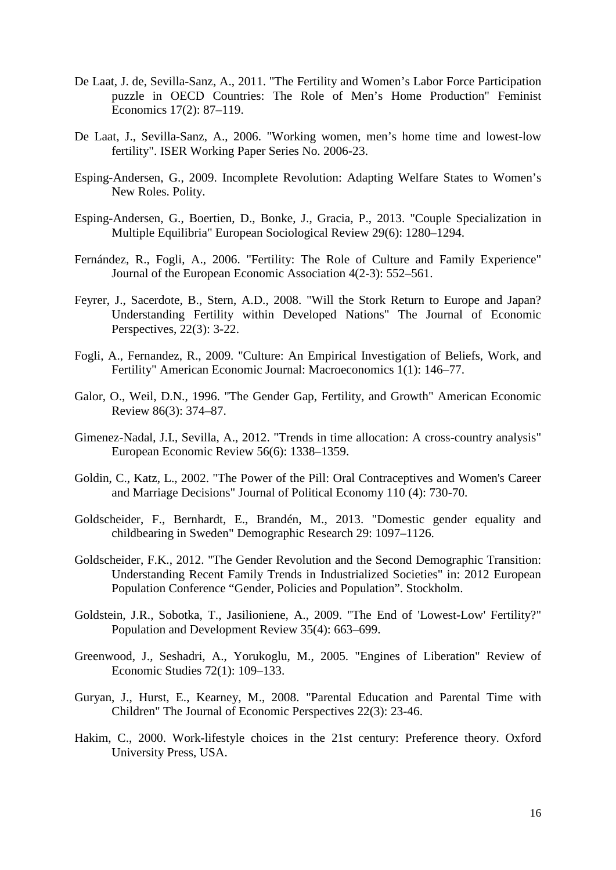- De Laat, J. de, Sevilla-Sanz, A., 2011. "The Fertility and Women's Labor Force Participation puzzle in OECD Countries: The Role of Men's Home Production" Feminist Economics 17(2): 87–119.
- De Laat, J., Sevilla-Sanz, A., 2006. "Working women, men's home time and lowest-low fertility". ISER Working Paper Series No. 2006-23.
- Esping-Andersen, G., 2009. Incomplete Revolution: Adapting Welfare States to Women's New Roles. Polity.
- Esping-Andersen, G., Boertien, D., Bonke, J., Gracia, P., 2013. "Couple Specialization in Multiple Equilibria" European Sociological Review 29(6): 1280–1294.
- Fernández, R., Fogli, A., 2006. "Fertility: The Role of Culture and Family Experience" Journal of the European Economic Association 4(2-3): 552–561.
- Feyrer, J., Sacerdote, B., Stern, A.D., 2008. "Will the Stork Return to Europe and Japan? Understanding Fertility within Developed Nations" The Journal of Economic Perspectives, 22(3): 3-22.
- Fogli, A., Fernandez, R., 2009. "Culture: An Empirical Investigation of Beliefs, Work, and Fertility" American Economic Journal: Macroeconomics 1(1): 146–77.
- Galor, O., Weil, D.N., 1996. "The Gender Gap, Fertility, and Growth" American Economic Review 86(3): 374–87.
- Gimenez-Nadal, J.I., Sevilla, A., 2012. "Trends in time allocation: A cross-country analysis" European Economic Review 56(6): 1338–1359.
- Goldin, C., Katz, L., 2002. "The Power of the Pill: Oral Contraceptives and Women's Career and Marriage Decisions" Journal of Political Economy 110 (4): 730-70.
- Goldscheider, F., Bernhardt, E., Brandén, M., 2013. "Domestic gender equality and childbearing in Sweden" Demographic Research 29: 1097–1126.
- Goldscheider, F.K., 2012. "The Gender Revolution and the Second Demographic Transition: Understanding Recent Family Trends in Industrialized Societies" in: 2012 European Population Conference "Gender, Policies and Population". Stockholm.
- Goldstein, J.R., Sobotka, T., Jasilioniene, A., 2009. "The End of 'Lowest-Low' Fertility?" Population and Development Review 35(4): 663–699.
- Greenwood, J., Seshadri, A., Yorukoglu, M., 2005. "Engines of Liberation" Review of Economic Studies 72(1): 109–133.
- Guryan, J., Hurst, E., Kearney, M., 2008. "Parental Education and Parental Time with Children" The Journal of Economic Perspectives 22(3): 23-46.
- Hakim, C., 2000. Work-lifestyle choices in the 21st century: Preference theory. Oxford University Press, USA.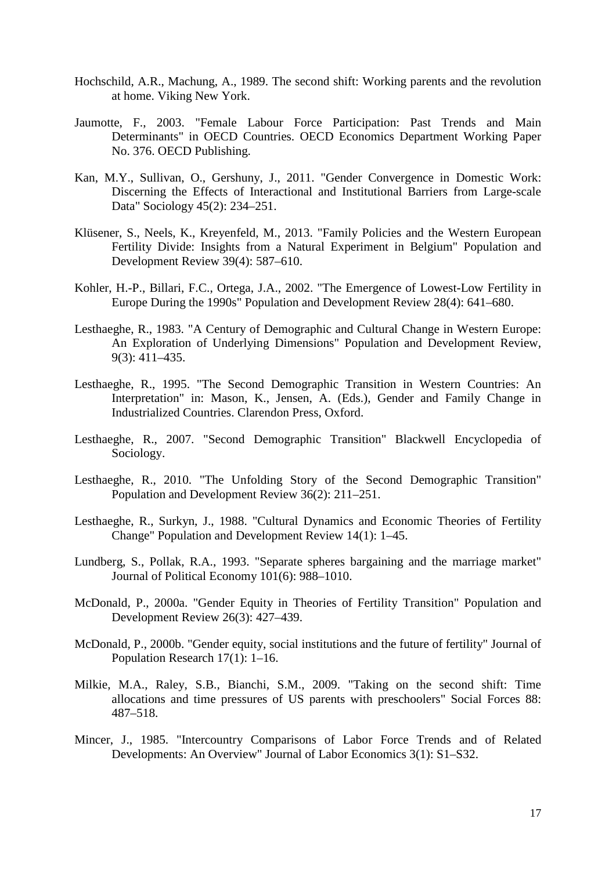- Hochschild, A.R., Machung, A., 1989. The second shift: Working parents and the revolution at home. Viking New York.
- Jaumotte, F., 2003. "Female Labour Force Participation: Past Trends and Main Determinants" in OECD Countries. OECD Economics Department Working Paper No. 376. OECD Publishing.
- Kan, M.Y., Sullivan, O., Gershuny, J., 2011. "Gender Convergence in Domestic Work: Discerning the Effects of Interactional and Institutional Barriers from Large-scale Data" Sociology 45(2): 234–251.
- Klüsener, S., Neels, K., Kreyenfeld, M., 2013. "Family Policies and the Western European Fertility Divide: Insights from a Natural Experiment in Belgium" Population and Development Review 39(4): 587–610.
- Kohler, H.-P., Billari, F.C., Ortega, J.A., 2002. "The Emergence of Lowest-Low Fertility in Europe During the 1990s" Population and Development Review 28(4): 641–680.
- Lesthaeghe, R., 1983. "A Century of Demographic and Cultural Change in Western Europe: An Exploration of Underlying Dimensions" Population and Development Review, 9(3): 411–435.
- Lesthaeghe, R., 1995. "The Second Demographic Transition in Western Countries: An Interpretation" in: Mason, K., Jensen, A. (Eds.), Gender and Family Change in Industrialized Countries. Clarendon Press, Oxford.
- Lesthaeghe, R., 2007. "Second Demographic Transition" Blackwell Encyclopedia of Sociology.
- Lesthaeghe, R., 2010. "The Unfolding Story of the Second Demographic Transition" Population and Development Review 36(2): 211–251.
- Lesthaeghe, R., Surkyn, J., 1988. "Cultural Dynamics and Economic Theories of Fertility Change" Population and Development Review 14(1): 1–45.
- Lundberg, S., Pollak, R.A., 1993. "Separate spheres bargaining and the marriage market" Journal of Political Economy 101(6): 988–1010.
- McDonald, P., 2000a. "Gender Equity in Theories of Fertility Transition" Population and Development Review 26(3): 427–439.
- McDonald, P., 2000b. "Gender equity, social institutions and the future of fertility" Journal of Population Research 17(1): 1–16.
- Milkie, M.A., Raley, S.B., Bianchi, S.M., 2009. "Taking on the second shift: Time allocations and time pressures of US parents with preschoolers" Social Forces 88: 487–518.
- Mincer, J., 1985. "Intercountry Comparisons of Labor Force Trends and of Related Developments: An Overview" Journal of Labor Economics 3(1): S1–S32.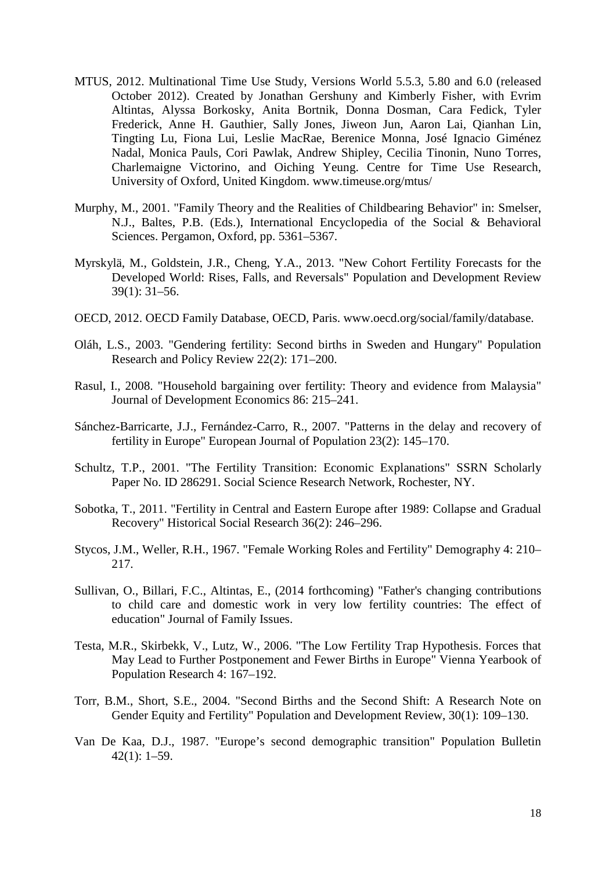- MTUS, 2012. Multinational Time Use Study, Versions World 5.5.3, 5.80 and 6.0 (released October 2012). Created by Jonathan Gershuny and Kimberly Fisher, with Evrim Altintas, Alyssa Borkosky, Anita Bortnik, Donna Dosman, Cara Fedick, Tyler Frederick, Anne H. Gauthier, Sally Jones, Jiweon Jun, Aaron Lai, Qianhan Lin, Tingting Lu, Fiona Lui, Leslie MacRae, Berenice Monna, José Ignacio Giménez Nadal, Monica Pauls, Cori Pawlak, Andrew Shipley, Cecilia Tinonin, Nuno Torres, Charlemaigne Victorino, and Oiching Yeung. Centre for Time Use Research, University of Oxford, United Kingdom. www.timeuse.org/mtus/
- Murphy, M., 2001. "Family Theory and the Realities of Childbearing Behavior" in: Smelser, N.J., Baltes, P.B. (Eds.), International Encyclopedia of the Social & Behavioral Sciences. Pergamon, Oxford, pp. 5361–5367.
- Myrskylä, M., Goldstein, J.R., Cheng, Y.A., 2013. "New Cohort Fertility Forecasts for the Developed World: Rises, Falls, and Reversals" Population and Development Review 39(1): 31–56.
- OECD, 2012. OECD Family Database, OECD, Paris. www.oecd.org/social/family/database.
- Oláh, L.S., 2003. "Gendering fertility: Second births in Sweden and Hungary" Population Research and Policy Review 22(2): 171–200.
- Rasul, I., 2008. "Household bargaining over fertility: Theory and evidence from Malaysia" Journal of Development Economics 86: 215–241.
- Sánchez-Barricarte, J.J., Fernández-Carro, R., 2007. "Patterns in the delay and recovery of fertility in Europe" European Journal of Population 23(2): 145–170.
- Schultz, T.P., 2001. "The Fertility Transition: Economic Explanations" SSRN Scholarly Paper No. ID 286291. Social Science Research Network, Rochester, NY.
- Sobotka, T., 2011. "Fertility in Central and Eastern Europe after 1989: Collapse and Gradual Recovery" Historical Social Research 36(2): 246–296.
- Stycos, J.M., Weller, R.H., 1967. "Female Working Roles and Fertility" Demography 4: 210– 217.
- Sullivan, O., Billari, F.C., Altintas, E., (2014 forthcoming) "Father's changing contributions to child care and domestic work in very low fertility countries: The effect of education" Journal of Family Issues.
- Testa, M.R., Skirbekk, V., Lutz, W., 2006. "The Low Fertility Trap Hypothesis. Forces that May Lead to Further Postponement and Fewer Births in Europe" Vienna Yearbook of Population Research 4: 167–192.
- Torr, B.M., Short, S.E., 2004. "Second Births and the Second Shift: A Research Note on Gender Equity and Fertility" Population and Development Review, 30(1): 109–130.
- Van De Kaa, D.J., 1987. "Europe's second demographic transition" Population Bulletin 42(1): 1–59.